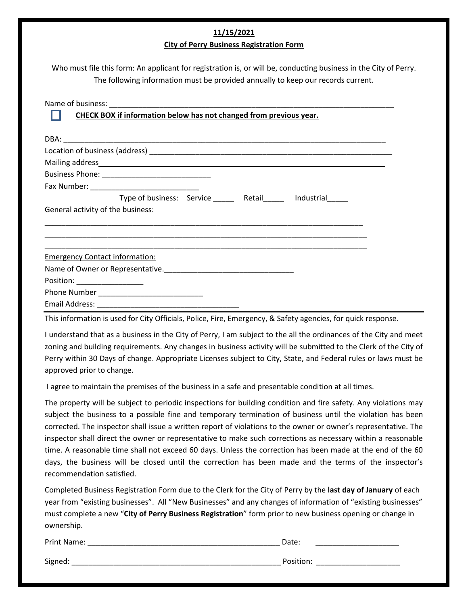## **11/15/2021 City of Perry Business Registration Form**

Who must file this form: An applicant for registration is, or will be, conducting business in the City of Perry. The following information must be provided annually to keep our records current.

| CHECK BOX if information below has not changed from previous year. |  |  |
|--------------------------------------------------------------------|--|--|
|                                                                    |  |  |
|                                                                    |  |  |
|                                                                    |  |  |
|                                                                    |  |  |
|                                                                    |  |  |
| Type of business: Service ______ Retail______ Industrial_____      |  |  |
| General activity of the business:                                  |  |  |
|                                                                    |  |  |
|                                                                    |  |  |
| <b>Emergency Contact information:</b>                              |  |  |
| Name of Owner or Representative.                                   |  |  |
| Position: __________________                                       |  |  |
|                                                                    |  |  |
|                                                                    |  |  |

This information is used for City Officials, Police, Fire, Emergency, & Safety agencies, for quick response.

I understand that as a business in the City of Perry, I am subject to the all the ordinances of the City and meet zoning and building requirements. Any changes in business activity will be submitted to the Clerk of the City of Perry within 30 Days of change. Appropriate Licenses subject to City, State, and Federal rules or laws must be approved prior to change.

I agree to maintain the premises of the business in a safe and presentable condition at all times.

The property will be subject to periodic inspections for building condition and fire safety. Any violations may subject the business to a possible fine and temporary termination of business until the violation has been corrected. The inspector shall issue a written report of violations to the owner or owner's representative. The inspector shall direct the owner or representative to make such corrections as necessary within a reasonable time. A reasonable time shall not exceed 60 days. Unless the correction has been made at the end of the 60 days, the business will be closed until the correction has been made and the terms of the inspector's recommendation satisfied.

Completed Business Registration Form due to the Clerk for the City of Perry by the **last day of January** of each year from "existing businesses". All "New Businesses" and any changes of information of "existing businesses" must complete a new "**City of Perry Business Registration**" form prior to new business opening or change in ownership.

| Print Name: | Date:     |
|-------------|-----------|
| Signed:     | Position: |